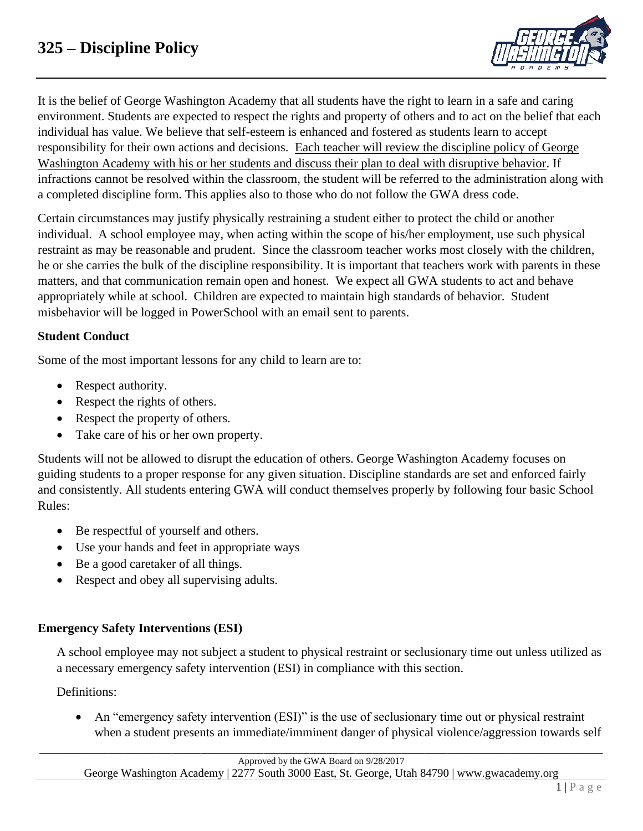

It is the belief of George Washington Academy that all students have the right to learn in a safe and caring environment. Students are expected to respect the rights and property of others and to act on the belief that each individual has value. We believe that self-esteem is enhanced and fostered as students learn to accept responsibility for their own actions and decisions. Each teacher will review the discipline policy of George Washington Academy with his or her students and discuss their plan to deal with disruptive behavior. If infractions cannot be resolved within the classroom, the student will be referred to the administration along with a completed discipline form. This applies also to those who do not follow the GWA dress code.

Certain circumstances may justify physically restraining a student either to protect the child or another individual. A school employee may, when acting within the scope of his/her employment, use such physical restraint as may be reasonable and prudent. Since the classroom teacher works most closely with the children, he or she carries the bulk of the discipline responsibility. It is important that teachers work with parents in these matters, and that communication remain open and honest. We expect all GWA students to act and behave appropriately while at school. Children are expected to maintain high standards of behavior. Student misbehavior will be logged in PowerSchool with an email sent to parents.

# **Student Conduct**

Some of the most important lessons for any child to learn are to:

- Respect authority.
- Respect the rights of others.
- Respect the property of others.
- Take care of his or her own property.

Students will not be allowed to disrupt the education of others. George Washington Academy focuses on guiding students to a proper response for any given situation. Discipline standards are set and enforced fairly and consistently. All students entering GWA will conduct themselves properly by following four basic School Rules:

- Be respectful of yourself and others.
- Use your hands and feet in appropriate ways
- Be a good caretaker of all things.
- Respect and obey all supervising adults.

# **Emergency Safety Interventions (ESI)**

A school employee may not subject a student to physical restraint or seclusionary time out unless utilized as a necessary emergency safety intervention (ESI) in compliance with this section.

# Definitions:

• An "emergency safety intervention (ESI)" is the use of seclusionary time out or physical restraint when a student presents an immediate/imminent danger of physical violence/aggression towards self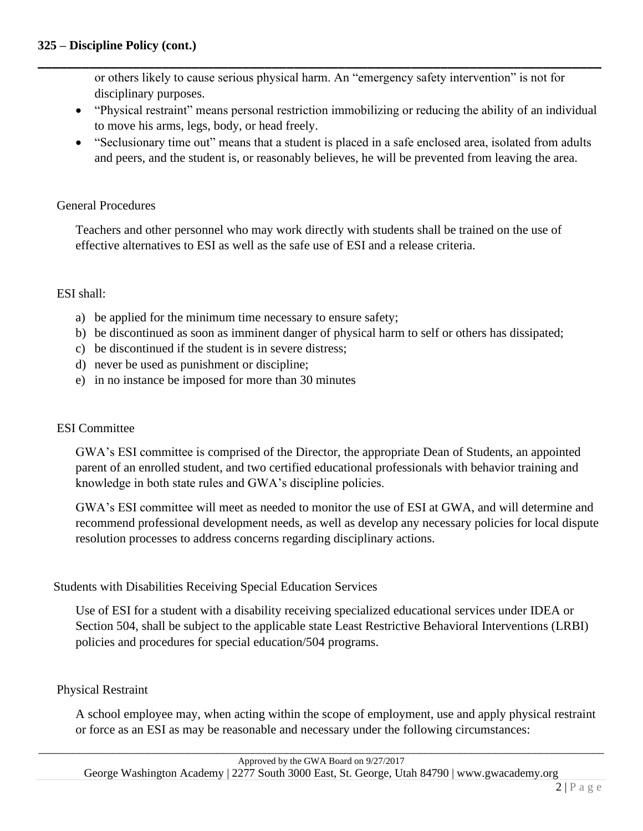or others likely to cause serious physical harm. An "emergency safety intervention" is not for disciplinary purposes.

**\_\_\_\_\_\_\_\_\_\_\_\_\_\_\_\_\_\_\_\_\_\_\_\_\_\_\_\_\_\_\_\_\_\_\_\_\_\_\_\_\_\_\_\_\_\_\_\_\_\_\_\_\_\_\_\_\_\_\_\_\_\_\_\_\_\_\_\_\_\_\_\_\_\_\_\_\_**

- "Physical restraint" means personal restriction immobilizing or reducing the ability of an individual to move his arms, legs, body, or head freely.
- "Seclusionary time out" means that a student is placed in a safe enclosed area, isolated from adults and peers, and the student is, or reasonably believes, he will be prevented from leaving the area.

#### General Procedures

Teachers and other personnel who may work directly with students shall be trained on the use of effective alternatives to ESI as well as the safe use of ESI and a release criteria.

#### ESI shall:

- a) be applied for the minimum time necessary to ensure safety;
- b) be discontinued as soon as imminent danger of physical harm to self or others has dissipated;
- c) be discontinued if the student is in severe distress;
- d) never be used as punishment or discipline;
- e) in no instance be imposed for more than 30 minutes

# ESI Committee

GWA's ESI committee is comprised of the Director, the appropriate Dean of Students, an appointed parent of an enrolled student, and two certified educational professionals with behavior training and knowledge in both state rules and GWA's discipline policies.

GWA's ESI committee will meet as needed to monitor the use of ESI at GWA, and will determine and recommend professional development needs, as well as develop any necessary policies for local dispute resolution processes to address concerns regarding disciplinary actions.

# Students with Disabilities Receiving Special Education Services

Use of ESI for a student with a disability receiving specialized educational services under IDEA or Section 504, shall be subject to the applicable state Least Restrictive Behavioral Interventions (LRBI) policies and procedures for special education/504 programs.

#### Physical Restraint

A school employee may, when acting within the scope of employment, use and apply physical restraint or force as an ESI as may be reasonable and necessary under the following circumstances: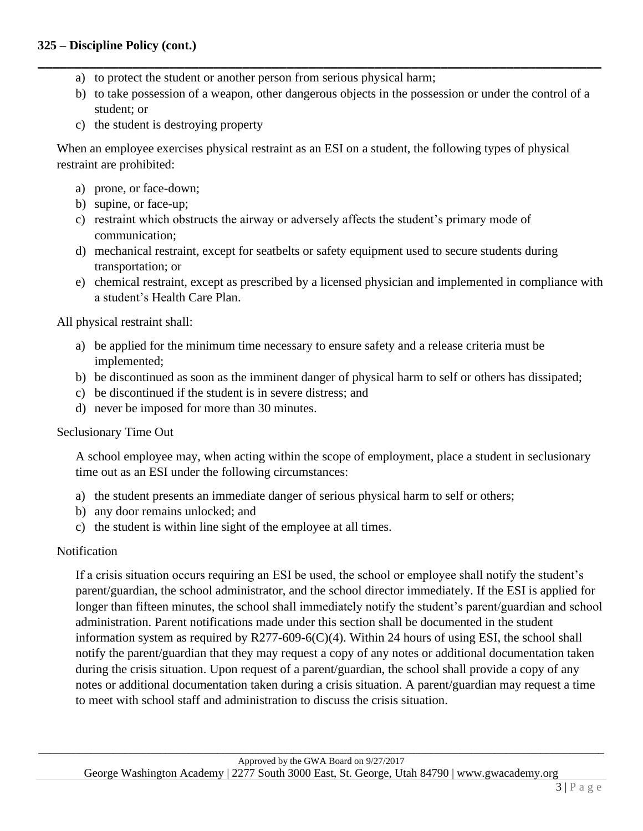- a) to protect the student or another person from serious physical harm;
- b) to take possession of a weapon, other dangerous objects in the possession or under the control of a student; or

**\_\_\_\_\_\_\_\_\_\_\_\_\_\_\_\_\_\_\_\_\_\_\_\_\_\_\_\_\_\_\_\_\_\_\_\_\_\_\_\_\_\_\_\_\_\_\_\_\_\_\_\_\_\_\_\_\_\_\_\_\_\_\_\_\_\_\_\_\_\_\_\_\_\_\_\_\_**

c) the student is destroying property

When an employee exercises physical restraint as an ESI on a student, the following types of physical restraint are prohibited:

- a) prone, or face-down;
- b) supine, or face-up;
- c) restraint which obstructs the airway or adversely affects the student's primary mode of communication;
- d) mechanical restraint, except for seatbelts or safety equipment used to secure students during transportation; or
- e) chemical restraint, except as prescribed by a licensed physician and implemented in compliance with a student's Health Care Plan.

All physical restraint shall:

- a) be applied for the minimum time necessary to ensure safety and a release criteria must be implemented;
- b) be discontinued as soon as the imminent danger of physical harm to self or others has dissipated;
- c) be discontinued if the student is in severe distress; and
- d) never be imposed for more than 30 minutes.

#### Seclusionary Time Out

A school employee may, when acting within the scope of employment, place a student in seclusionary time out as an ESI under the following circumstances:

- a) the student presents an immediate danger of serious physical harm to self or others;
- b) any door remains unlocked; and
- c) the student is within line sight of the employee at all times.

#### Notification

If a crisis situation occurs requiring an ESI be used, the school or employee shall notify the student's parent/guardian, the school administrator, and the school director immediately. If the ESI is applied for longer than fifteen minutes, the school shall immediately notify the student's parent/guardian and school administration. Parent notifications made under this section shall be documented in the student information system as required by R277-609-6(C)(4). Within 24 hours of using ESI, the school shall notify the parent/guardian that they may request a copy of any notes or additional documentation taken during the crisis situation. Upon request of a parent/guardian, the school shall provide a copy of any notes or additional documentation taken during a crisis situation. A parent/guardian may request a time to meet with school staff and administration to discuss the crisis situation.